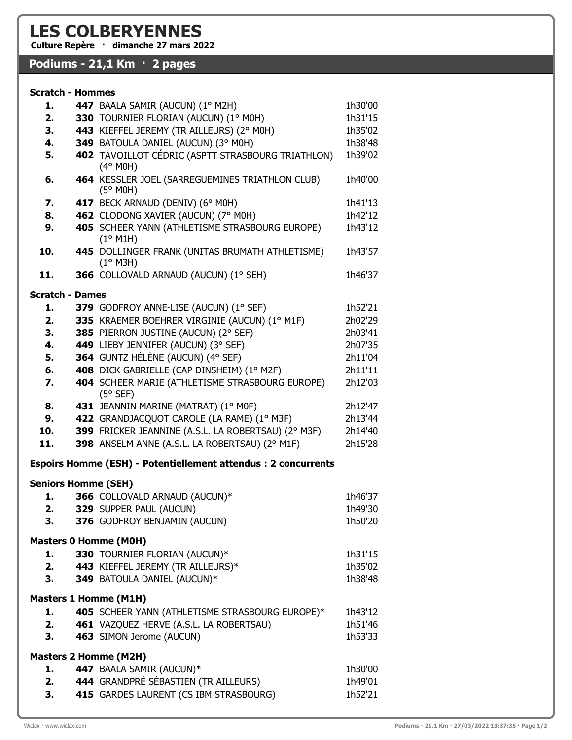## LES COLBERYENNES

Culture Repère · dimanche 27 mars 2022

## Podiums - 21,1 Km · 2 pages

## Scratch - Hommes

| 1.                           |  | 447 BAALA SAMIR (AUCUN) (1º M2H)                                               | 1h30'00            |  |
|------------------------------|--|--------------------------------------------------------------------------------|--------------------|--|
| 2.                           |  | 330 TOURNIER FLORIAN (AUCUN) (1° MOH)                                          | 1h31'15            |  |
| 3.                           |  | 443 KIEFFEL JEREMY (TR AILLEURS) (2° MOH)                                      | 1h35'02            |  |
| 4.                           |  | 349 BATOULA DANIEL (AUCUN) (3° MOH)                                            | 1h38'48            |  |
| 5.                           |  | 402 TAVOILLOT CÉDRIC (ASPTT STRASBOURG TRIATHLON)<br>$(4°$ M0H)                | 1h39'02            |  |
| 6.                           |  | 464 KESSLER JOEL (SARREGUEMINES TRIATHLON CLUB)<br>(5° MOH)                    | 1h40'00            |  |
| 7.                           |  | 417 BECK ARNAUD (DENIV) (6° MOH)                                               | 1h41'13            |  |
| 8.                           |  | 462 CLODONG XAVIER (AUCUN) (7° MOH)                                            | 1h42'12            |  |
| 9.                           |  | 405 SCHEER YANN (ATHLETISME STRASBOURG EUROPE)<br>(1° M1H)                     | 1h43'12            |  |
| 10.                          |  | 445 DOLLINGER FRANK (UNITAS BRUMATH ATHLETISME)<br>$(1°$ M3H)                  | 1h43'57            |  |
| 11.                          |  | 366 COLLOVALD ARNAUD (AUCUN) (1° SEH)                                          | 1h46'37            |  |
| <b>Scratch - Dames</b>       |  |                                                                                |                    |  |
| 1.                           |  | 379 GODFROY ANNE-LISE (AUCUN) (1° SEF)                                         | 1h52'21            |  |
| 2.                           |  | 335 KRAEMER BOEHRER VIRGINIE (AUCUN) (1º M1F)                                  | 2h02'29            |  |
| 3.                           |  | 385 PIERRON JUSTINE (AUCUN) (2° SEF)                                           | 2h03'41            |  |
| 4.                           |  | 449 LIEBY JENNIFER (AUCUN) (3° SEF)<br>364 GUNTZ HÉLÈNE (AUCUN) (4° SEF)       | 2h07'35            |  |
| 5.                           |  |                                                                                | 2h11'04            |  |
| 6.                           |  | 408 DICK GABRIELLE (CAP DINSHEIM) (1º M2F)                                     | 2h11'11            |  |
| 7.                           |  | 404 SCHEER MARIE (ATHLETISME STRASBOURG EUROPE)<br>$(5°$ SEF)                  | 2h12'03            |  |
| 8.                           |  | 431 JEANNIN MARINE (MATRAT) (1° MOF)                                           | 2h12'47            |  |
| 9.                           |  | 422 GRANDJACQUOT CAROLE (LA RAME) (1º M3F)                                     | 2h13'44            |  |
| 10.                          |  | 399 FRICKER JEANNINE (A.S.L. LA ROBERTSAU) (2° M3F)                            | 2h14'40            |  |
| 11.                          |  | 398 ANSELM ANNE (A.S.L. LA ROBERTSAU) (2° M1F)                                 | 2h15'28            |  |
|                              |  | Espoirs Homme (ESH) - Potentiellement attendus : 2 concurrents                 |                    |  |
| <b>Seniors Homme (SEH)</b>   |  |                                                                                |                    |  |
|                              |  | 366 COLLOVALD ARNAUD (AUCUN)*                                                  | 1h46'37            |  |
| 2.                           |  | 329 SUPPER PAUL (AUCUN)                                                        | 1h49'30            |  |
| З.                           |  | 376 GODFROY BENJAMIN (AUCUN)<br><b>Masters 0 Homme (MOH)</b>                   | 1h50'20            |  |
|                              |  | 330 TOURNIER FLORIAN (AUCUN)*                                                  |                    |  |
| 1.                           |  |                                                                                | 1h31'15            |  |
|                              |  | 443 KIEFFEL JEREMY (TR AILLEURS)*                                              | 1h35'02            |  |
| 3.                           |  | 349 BATOULA DANIEL (AUCUN)*                                                    | 1h38'48            |  |
| <b>Masters 1 Homme (M1H)</b> |  |                                                                                |                    |  |
| 1.                           |  | 405 SCHEER YANN (ATHLETISME STRASBOURG EUROPE)*                                | 1h43'12            |  |
| 2.                           |  | 461 VAZQUEZ HERVE (A.S.L. LA ROBERTSAU)                                        | 1h51'46            |  |
| 3.                           |  | 463 SIMON Jerome (AUCUN)                                                       | 1h53'33            |  |
|                              |  | <b>Masters 2 Homme (M2H)</b>                                                   |                    |  |
| 1.                           |  | 447 BAALA SAMIR (AUCUN)*                                                       | 1h30'00            |  |
|                              |  |                                                                                |                    |  |
| 2.<br>3.                     |  | 444 GRANDPRÉ SÉBASTIEN (TR AILLEURS)<br>415 GARDES LAURENT (CS IBM STRASBOURG) | 1h49'01<br>1h52'21 |  |